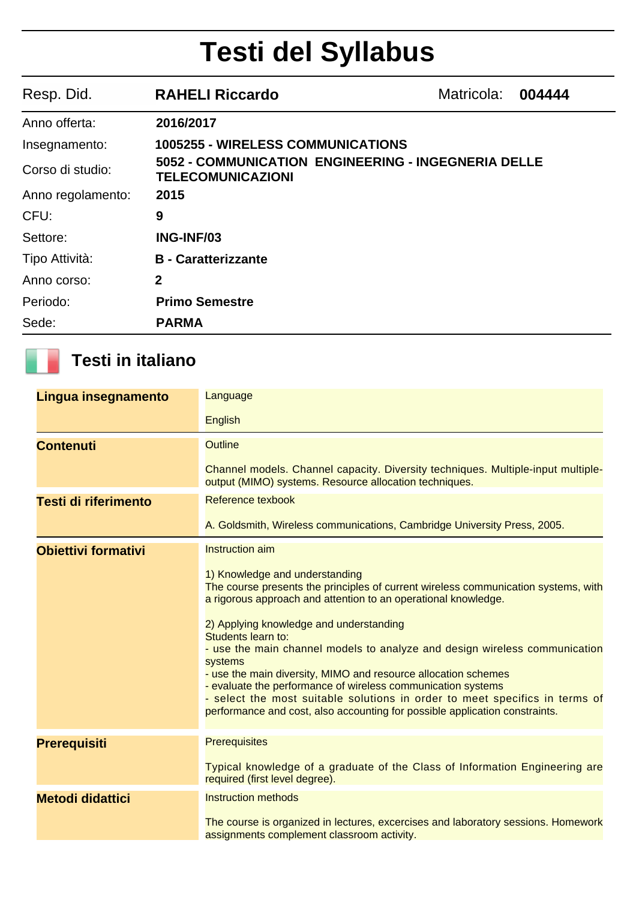## **Testi del Syllabus**

| Resp. Did.        | <b>RAHELI Riccardo</b>                                                          | Matricola: | 004444 |
|-------------------|---------------------------------------------------------------------------------|------------|--------|
| Anno offerta:     | 2016/2017                                                                       |            |        |
| Insegnamento:     | <b>1005255 - WIRELESS COMMUNICATIONS</b>                                        |            |        |
| Corso di studio:  | 5052 - COMMUNICATION ENGINEERING - INGEGNERIA DELLE<br><b>TELECOMUNICAZIONI</b> |            |        |
| Anno regolamento: | 2015                                                                            |            |        |
| CFU:              | 9                                                                               |            |        |
| Settore:          | ING-INF/03                                                                      |            |        |
| Tipo Attività:    | <b>B</b> - Caratterizzante                                                      |            |        |
| Anno corso:       | $\mathbf{2}$                                                                    |            |        |
| Periodo:          | <b>Primo Semestre</b>                                                           |            |        |
| Sede:             | <b>PARMA</b>                                                                    |            |        |

## **Testi in italiano**

| Lingua insegnamento         | Language                                                                                                                                                                                                                                                                                                                                                                                                                                                                                                                                                                                                                                         |
|-----------------------------|--------------------------------------------------------------------------------------------------------------------------------------------------------------------------------------------------------------------------------------------------------------------------------------------------------------------------------------------------------------------------------------------------------------------------------------------------------------------------------------------------------------------------------------------------------------------------------------------------------------------------------------------------|
|                             | <b>English</b>                                                                                                                                                                                                                                                                                                                                                                                                                                                                                                                                                                                                                                   |
| <b>Contenuti</b>            | <b>Outline</b>                                                                                                                                                                                                                                                                                                                                                                                                                                                                                                                                                                                                                                   |
|                             | Channel models. Channel capacity. Diversity techniques. Multiple-input multiple-<br>output (MIMO) systems. Resource allocation techniques.                                                                                                                                                                                                                                                                                                                                                                                                                                                                                                       |
| <b>Testi di riferimento</b> | Reference texbook                                                                                                                                                                                                                                                                                                                                                                                                                                                                                                                                                                                                                                |
|                             | A. Goldsmith, Wireless communications, Cambridge University Press, 2005.                                                                                                                                                                                                                                                                                                                                                                                                                                                                                                                                                                         |
| <b>Obiettivi formativi</b>  | Instruction aim                                                                                                                                                                                                                                                                                                                                                                                                                                                                                                                                                                                                                                  |
|                             | 1) Knowledge and understanding<br>The course presents the principles of current wireless communication systems, with<br>a rigorous approach and attention to an operational knowledge.<br>2) Applying knowledge and understanding<br>Students learn to:<br>- use the main channel models to analyze and design wireless communication<br>systems<br>- use the main diversity, MIMO and resource allocation schemes<br>- evaluate the performance of wireless communication systems<br>- select the most suitable solutions in order to meet specifics in terms of<br>performance and cost, also accounting for possible application constraints. |
| <b>Prerequisiti</b>         | <b>Prerequisites</b>                                                                                                                                                                                                                                                                                                                                                                                                                                                                                                                                                                                                                             |
|                             | Typical knowledge of a graduate of the Class of Information Engineering are<br>required (first level degree).                                                                                                                                                                                                                                                                                                                                                                                                                                                                                                                                    |
| <b>Metodi didattici</b>     | <b>Instruction methods</b>                                                                                                                                                                                                                                                                                                                                                                                                                                                                                                                                                                                                                       |
|                             | The course is organized in lectures, excercises and laboratory sessions. Homework<br>assignments complement classroom activity.                                                                                                                                                                                                                                                                                                                                                                                                                                                                                                                  |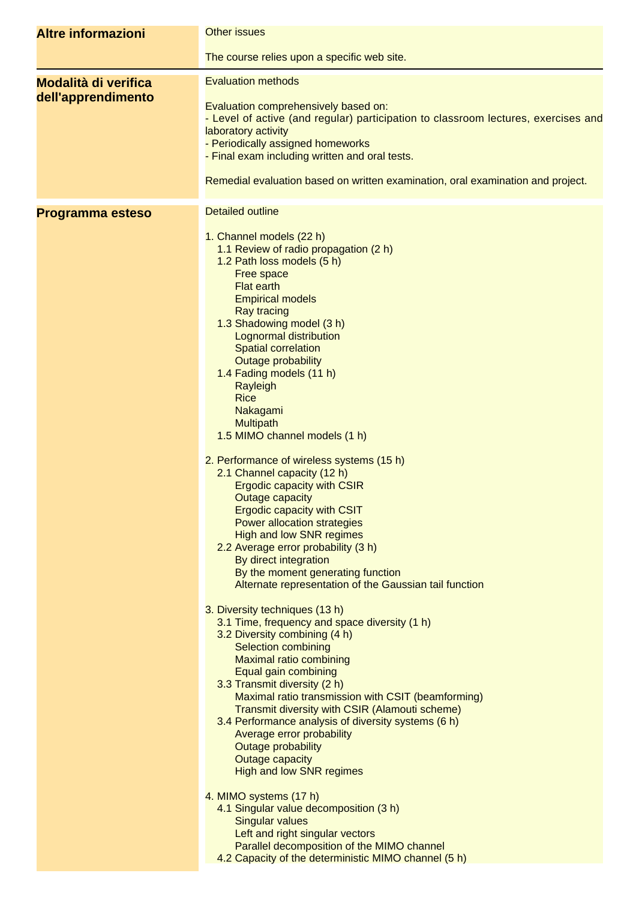| <b>Altre informazioni</b>                         | <b>Other issues</b>                                                                                                                                                                                                                                                                                                                                                                                                                                                                                                                                                                                                                                                                                                                                                                                                                                                                                                                      |
|---------------------------------------------------|------------------------------------------------------------------------------------------------------------------------------------------------------------------------------------------------------------------------------------------------------------------------------------------------------------------------------------------------------------------------------------------------------------------------------------------------------------------------------------------------------------------------------------------------------------------------------------------------------------------------------------------------------------------------------------------------------------------------------------------------------------------------------------------------------------------------------------------------------------------------------------------------------------------------------------------|
|                                                   | The course relies upon a specific web site.                                                                                                                                                                                                                                                                                                                                                                                                                                                                                                                                                                                                                                                                                                                                                                                                                                                                                              |
| <b>Modalità di verifica</b><br>dell'apprendimento | <b>Evaluation methods</b><br>Evaluation comprehensively based on:<br>- Level of active (and regular) participation to classroom lectures, exercises and<br>laboratory activity<br>- Periodically assigned homeworks<br>- Final exam including written and oral tests.<br>Remedial evaluation based on written examination, oral examination and project.                                                                                                                                                                                                                                                                                                                                                                                                                                                                                                                                                                                 |
| Programma esteso                                  | <b>Detailed outline</b>                                                                                                                                                                                                                                                                                                                                                                                                                                                                                                                                                                                                                                                                                                                                                                                                                                                                                                                  |
|                                                   | 1. Channel models (22 h)<br>1.1 Review of radio propagation (2 h)<br>1.2 Path loss models (5 h)<br>Free space<br><b>Flat earth</b><br><b>Empirical models</b><br><b>Ray tracing</b><br>1.3 Shadowing model (3 h)<br>Lognormal distribution<br><b>Spatial correlation</b><br><b>Outage probability</b><br>1.4 Fading models (11 h)<br>Rayleigh<br><b>Rice</b><br>Nakagami<br><b>Multipath</b><br>1.5 MIMO channel models (1 h)<br>2. Performance of wireless systems (15 h)<br>2.1 Channel capacity (12 h)<br><b>Ergodic capacity with CSIR</b><br><b>Outage capacity</b><br><b>Ergodic capacity with CSIT</b><br><b>Power allocation strategies</b><br><b>High and low SNR regimes</b><br>2.2 Average error probability (3 h)<br>By direct integration<br>By the moment generating function<br>Alternate representation of the Gaussian tail function<br>3. Diversity techniques (13 h)<br>3.1 Time, frequency and space diversity (1 h) |
|                                                   | 3.2 Diversity combining (4 h)<br><b>Selection combining</b><br><b>Maximal ratio combining</b><br>Equal gain combining<br>3.3 Transmit diversity (2 h)<br>Maximal ratio transmission with CSIT (beamforming)<br>Transmit diversity with CSIR (Alamouti scheme)<br>3.4 Performance analysis of diversity systems (6 h)<br>Average error probability<br><b>Outage probability</b><br><b>Outage capacity</b><br><b>High and low SNR regimes</b>                                                                                                                                                                                                                                                                                                                                                                                                                                                                                              |
|                                                   | 4. MIMO systems (17 h)<br>4.1 Singular value decomposition (3 h)<br><b>Singular values</b><br>Left and right singular vectors<br>Parallel decomposition of the MIMO channel<br>4.2 Capacity of the deterministic MIMO channel (5 h)                                                                                                                                                                                                                                                                                                                                                                                                                                                                                                                                                                                                                                                                                                      |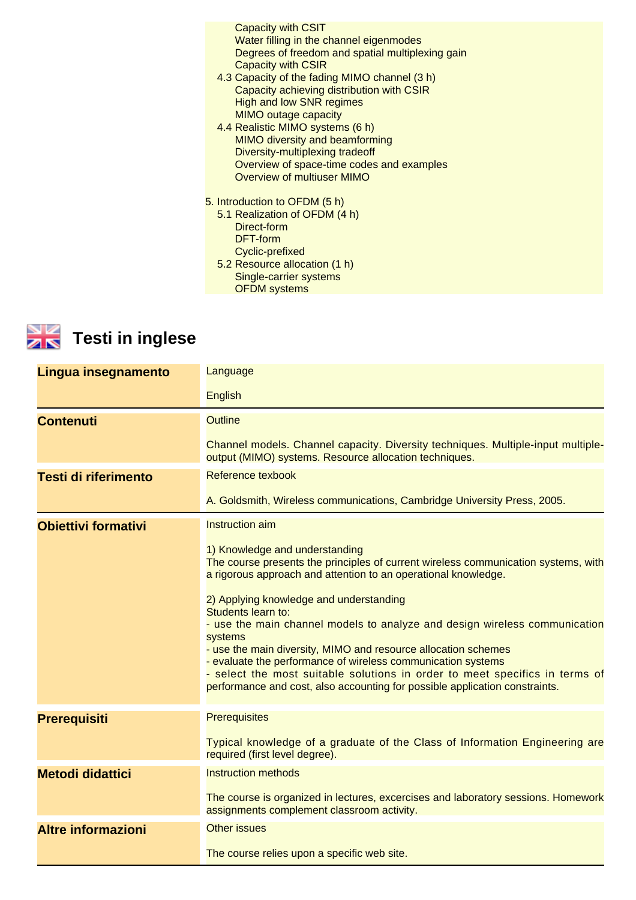| <b>Capacity with CSIT</b>                                      |  |
|----------------------------------------------------------------|--|
| Water filling in the channel eigenmodes                        |  |
| Degrees of freedom and spatial multiplexing gain               |  |
| <b>Capacity with CSIR</b>                                      |  |
| 4.3 Capacity of the fading MIMO channel (3 h)                  |  |
| Capacity achieving distribution with CSIR                      |  |
| <b>High and low SNR regimes</b>                                |  |
| <b>MIMO outage capacity</b>                                    |  |
| 4.4 Realistic MIMO systems (6 h)                               |  |
| <b>MIMO diversity and beamforming</b>                          |  |
| Diversity-multiplexing tradeoff                                |  |
| Overview of space-time codes and examples                      |  |
| <b>Overview of multiuser MIMO</b>                              |  |
|                                                                |  |
| 5. Introduction to OFDM (5 h)<br>5.1 Realization of OFDM (4 h) |  |
| Direct-form                                                    |  |
| DFT-form                                                       |  |
| Cyclic-prefixed                                                |  |
| 5.2 Resource allocation (1 h)                                  |  |
| Single-carrier systems                                         |  |
| <b>OFDM</b> systems                                            |  |
|                                                                |  |



## **Testi in inglese**

| Lingua insegnamento         | Language                                                                                                                                                                                                                                                                                                                                                                                                           |
|-----------------------------|--------------------------------------------------------------------------------------------------------------------------------------------------------------------------------------------------------------------------------------------------------------------------------------------------------------------------------------------------------------------------------------------------------------------|
|                             | <b>English</b>                                                                                                                                                                                                                                                                                                                                                                                                     |
| <b>Contenuti</b>            | <b>Outline</b>                                                                                                                                                                                                                                                                                                                                                                                                     |
|                             | Channel models. Channel capacity. Diversity techniques. Multiple-input multiple-<br>output (MIMO) systems. Resource allocation techniques.                                                                                                                                                                                                                                                                         |
| <b>Testi di riferimento</b> | Reference texbook                                                                                                                                                                                                                                                                                                                                                                                                  |
|                             | A. Goldsmith, Wireless communications, Cambridge University Press, 2005.                                                                                                                                                                                                                                                                                                                                           |
| <b>Obiettivi formativi</b>  | Instruction aim                                                                                                                                                                                                                                                                                                                                                                                                    |
|                             | 1) Knowledge and understanding<br>The course presents the principles of current wireless communication systems, with<br>a rigorous approach and attention to an operational knowledge.<br>2) Applying knowledge and understanding<br>Students learn to:<br>- use the main channel models to analyze and design wireless communication<br>systems<br>- use the main diversity, MIMO and resource allocation schemes |
|                             | - evaluate the performance of wireless communication systems<br>- select the most suitable solutions in order to meet specifics in terms of<br>performance and cost, also accounting for possible application constraints.                                                                                                                                                                                         |
| <b>Prerequisiti</b>         | <b>Prerequisites</b>                                                                                                                                                                                                                                                                                                                                                                                               |
|                             | Typical knowledge of a graduate of the Class of Information Engineering are<br>required (first level degree).                                                                                                                                                                                                                                                                                                      |
| <b>Metodi didattici</b>     | <b>Instruction methods</b>                                                                                                                                                                                                                                                                                                                                                                                         |
|                             | The course is organized in lectures, excercises and laboratory sessions. Homework<br>assignments complement classroom activity.                                                                                                                                                                                                                                                                                    |
| <b>Altre informazioni</b>   | <b>Other issues</b>                                                                                                                                                                                                                                                                                                                                                                                                |
|                             | The course relies upon a specific web site.                                                                                                                                                                                                                                                                                                                                                                        |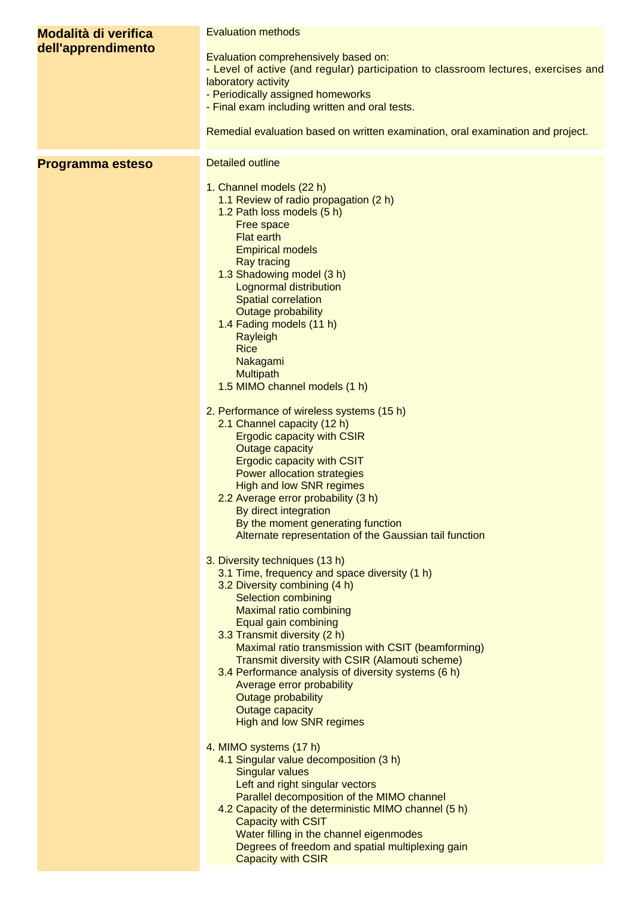| <b>Modalità di verifica</b><br>dell'apprendimento | <b>Evaluation methods</b><br>Evaluation comprehensively based on:<br>- Level of active (and regular) participation to classroom lectures, exercises and<br>laboratory activity<br>- Periodically assigned homeworks<br>- Final exam including written and oral tests.<br>Remedial evaluation based on written examination, oral examination and project.                                                                                                                                                                                                                                                                                                                                                                                                                                                                                                                                                                                                                                                                                                                          |
|---------------------------------------------------|-----------------------------------------------------------------------------------------------------------------------------------------------------------------------------------------------------------------------------------------------------------------------------------------------------------------------------------------------------------------------------------------------------------------------------------------------------------------------------------------------------------------------------------------------------------------------------------------------------------------------------------------------------------------------------------------------------------------------------------------------------------------------------------------------------------------------------------------------------------------------------------------------------------------------------------------------------------------------------------------------------------------------------------------------------------------------------------|
| Programma esteso                                  | <b>Detailed outline</b><br>1. Channel models (22 h)<br>1.1 Review of radio propagation (2 h)<br>1.2 Path loss models (5 h)<br>Free space<br><b>Flat earth</b><br><b>Empirical models</b><br><b>Ray tracing</b><br>1.3 Shadowing model (3 h)<br><b>Lognormal distribution</b><br><b>Spatial correlation</b><br>Outage probability<br>1.4 Fading models (11 h)<br>Rayleigh<br><b>Rice</b><br>Nakagami<br>Multipath<br>1.5 MIMO channel models (1 h)<br>2. Performance of wireless systems (15 h)                                                                                                                                                                                                                                                                                                                                                                                                                                                                                                                                                                                    |
|                                                   | 2.1 Channel capacity (12 h)<br><b>Ergodic capacity with CSIR</b><br><b>Outage capacity</b><br><b>Ergodic capacity with CSIT</b><br>Power allocation strategies<br><b>High and low SNR regimes</b><br>2.2 Average error probability (3 h)<br>By direct integration<br>By the moment generating function<br>Alternate representation of the Gaussian tail function<br>3. Diversity techniques (13 h)<br>3.1 Time, frequency and space diversity (1 h)<br>3.2 Diversity combining (4 h)<br><b>Selection combining</b><br><b>Maximal ratio combining</b><br>Equal gain combining<br>3.3 Transmit diversity (2 h)<br>Maximal ratio transmission with CSIT (beamforming)<br>Transmit diversity with CSIR (Alamouti scheme)<br>3.4 Performance analysis of diversity systems (6 h)<br>Average error probability<br><b>Outage probability</b><br><b>Outage capacity</b><br><b>High and low SNR regimes</b><br>4. MIMO systems (17 h)<br>4.1 Singular value decomposition (3 h)<br><b>Singular values</b><br>Left and right singular vectors<br>Parallel decomposition of the MIMO channel |
|                                                   | 4.2 Capacity of the deterministic MIMO channel (5 h)<br>Capacity with CSIT<br>Water filling in the channel eigenmodes<br>Degrees of freedom and spatial multiplexing gain<br><b>Capacity with CSIR</b>                                                                                                                                                                                                                                                                                                                                                                                                                                                                                                                                                                                                                                                                                                                                                                                                                                                                            |